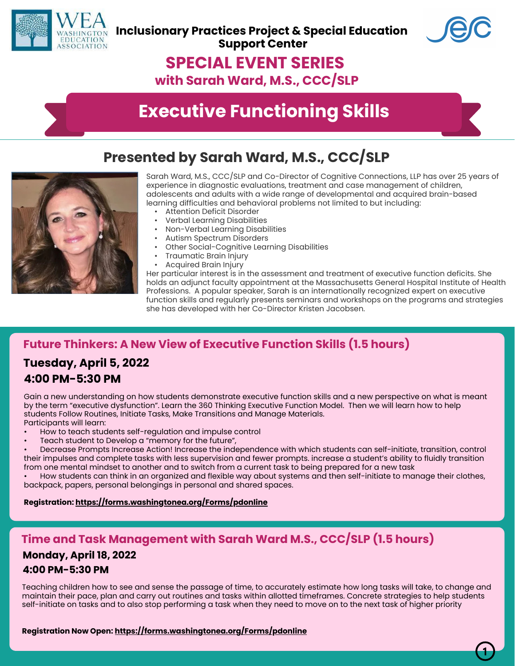



## **SPECIAL EVENT SERIES**

**with Sarah Ward, M.S., CCC/SLP**

# **Executive Functioning Skills**

## **Presented by Sarah Ward, M.S., CCC/SLP**



Sarah Ward, M.S., CCC/SLP and Co-Director of Cognitive Connections, LLP has over 25 years of experience in diagnostic evaluations, treatment and case management of children, adolescents and adults with a wide range of developmental and acquired brain-based learning difficulties and behavioral problems not limited to but including:

- Attention Deficit Disorder
- Verbal Learning Disabilities
- Non-Verbal Learning Disabilities
- Autism Spectrum Disorders
- Other Social-Cognitive Learning Disabilities
- Traumatic Brain Injury
- Acquired Brain Injury

Her particular interest is in the assessment and treatment of executive function deficits. She holds an adjunct faculty appointment at the Massachusetts General Hospital Institute of Health Professions. A popular speaker, Sarah is an internationally recognized expert on executive function skills and regularly presents seminars and workshops on the programs and strategies she has developed with her Co-Director Kristen Jacobsen.

## **Future Thinkers: A New View of Executive Function Skills (1.5 hours)**

## **Tuesday, April 5, 2022 4:00 PM-5:30 PM**

Gain a new understanding on how students demonstrate executive function skills and a new perspective on what is meant by the term "executive dysfunction". Learn the 360 Thinking Executive Function Model. Then we will learn how to help students Follow Routines, Initiate Tasks, Make Transitions and Manage Materials. Participants will learn:

- How to teach students self-regulation and impulse control
- Teach student to Develop a "memory for the future",

• Decrease Prompts Increase Action! Increase the independence with which students can self-initiate, transition, control their impulses and complete tasks with less supervision and fewer prompts. increase a student's ability to fluidly transition from one mental mindset to another and to switch from a current task to being prepared for a new task

• How students can think in an organized and flexible way about systems and then self-initiate to manage their clothes, backpack, papers, personal belongings in personal and shared spaces.

#### **Registration: https://forms.washingtonea.org/Forms/pdonline**

### **Time and Task Management with Sarah Ward M.S., CCC/SLP (1.5 hours)**

### **Monday, April 18, 2022 4:00 PM-5:30 PM**

Teaching children how to see and sense the passage of time, to accurately estimate how long tasks will take, to change and maintain their pace, plan and carry out routines and tasks within allotted timeframes. Concrete strategies to help students self-initiate on tasks and to also stop performing a task when they need to move on to the next task of higher priority

**Registration Now Open: https://forms.washingtonea.org/Forms/pdonline**